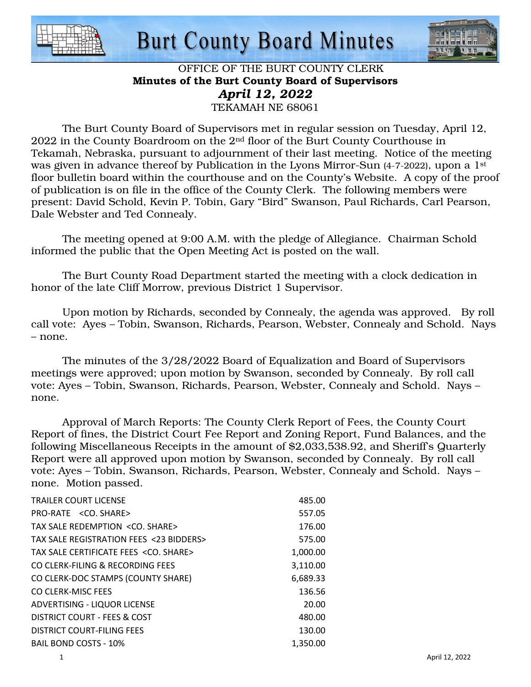



#### OFFICE OF THE BURT COUNTY CLERK Minutes of the Burt County Board of Supervisors *April 12, 2022*  TEKAMAH NE 68061

 The Burt County Board of Supervisors met in regular session on Tuesday, April 12, 2022 in the County Boardroom on the 2nd floor of the Burt County Courthouse in Tekamah, Nebraska, pursuant to adjournment of their last meeting. Notice of the meeting was given in advance thereof by Publication in the Lyons Mirror-Sun (4-7-2022), upon a 1<sup>st</sup> floor bulletin board within the courthouse and on the County's Website. A copy of the proof of publication is on file in the office of the County Clerk. The following members were present: David Schold, Kevin P. Tobin, Gary "Bird" Swanson, Paul Richards, Carl Pearson, Dale Webster and Ted Connealy.

 The meeting opened at 9:00 A.M. with the pledge of Allegiance. Chairman Schold informed the public that the Open Meeting Act is posted on the wall.

 The Burt County Road Department started the meeting with a clock dedication in honor of the late Cliff Morrow, previous District 1 Supervisor.

 Upon motion by Richards, seconded by Connealy, the agenda was approved. By roll call vote: Ayes – Tobin, Swanson, Richards, Pearson, Webster, Connealy and Schold. Nays – none.

 The minutes of the 3/28/2022 Board of Equalization and Board of Supervisors meetings were approved; upon motion by Swanson, seconded by Connealy. By roll call vote: Ayes – Tobin, Swanson, Richards, Pearson, Webster, Connealy and Schold. Nays – none.

 Approval of March Reports: The County Clerk Report of Fees, the County Court Report of fines, the District Court Fee Report and Zoning Report, Fund Balances, and the following Miscellaneous Receipts in the amount of \$2,033,538.92, and Sheriff's Quarterly Report were all approved upon motion by Swanson, seconded by Connealy. By roll call vote: Ayes – Tobin, Swanson, Richards, Pearson, Webster, Connealy and Schold. Nays – none. Motion passed.

| <b>TRAILER COURT LICENSE</b>                   | 485.00   |
|------------------------------------------------|----------|
|                                                |          |
| PRO-RATE <co. share=""></co.>                  | 557.05   |
| TAX SALE REDEMPTION <co. share=""></co.>       | 176.00   |
| TAX SALE REGISTRATION FEES <23 BIDDERS>        | 575.00   |
| TAX SALE CERTIFICATE FEES <co. share=""></co.> | 1,000.00 |
| CO CLERK-FILING & RECORDING FEES               | 3,110.00 |
| CO CLERK-DOC STAMPS (COUNTY SHARE)             | 6,689.33 |
| CO CLERK-MISC FEES                             | 136.56   |
| ADVERTISING - LIQUOR LICENSE                   | 20.00    |
| DISTRICT COURT - FEES & COST                   | 480.00   |
| DISTRICT COURT-FILING FEES                     | 130.00   |
| <b>BAIL BOND COSTS - 10%</b>                   | 1.350.00 |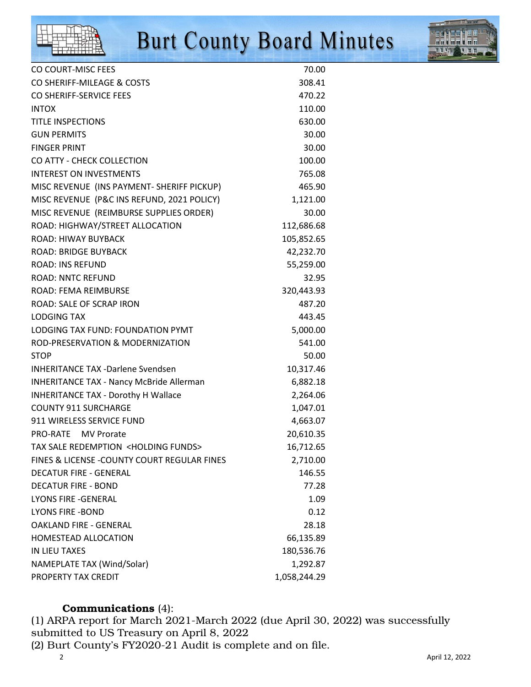

| CO COURT-MISC FEES                                      | 70.00        |
|---------------------------------------------------------|--------------|
| CO SHERIFF-MILEAGE & COSTS                              | 308.41       |
| CO SHERIFF-SERVICE FEES                                 | 470.22       |
| <b>INTOX</b>                                            | 110.00       |
| <b>TITLE INSPECTIONS</b>                                | 630.00       |
| <b>GUN PERMITS</b>                                      | 30.00        |
| <b>FINGER PRINT</b>                                     | 30.00        |
| CO ATTY - CHECK COLLECTION                              | 100.00       |
| <b>INTEREST ON INVESTMENTS</b>                          | 765.08       |
| MISC REVENUE (INS PAYMENT- SHERIFF PICKUP)              | 465.90       |
| MISC REVENUE (P&C INS REFUND, 2021 POLICY)              | 1,121.00     |
| MISC REVENUE (REIMBURSE SUPPLIES ORDER)                 | 30.00        |
| ROAD: HIGHWAY/STREET ALLOCATION                         | 112,686.68   |
| ROAD: HIWAY BUYBACK                                     | 105,852.65   |
| <b>ROAD: BRIDGE BUYBACK</b>                             | 42,232.70    |
| <b>ROAD: INS REFUND</b>                                 | 55,259.00    |
| <b>ROAD: NNTC REFUND</b>                                | 32.95        |
| <b>ROAD: FEMA REIMBURSE</b>                             | 320,443.93   |
| ROAD: SALE OF SCRAP IRON                                | 487.20       |
| <b>LODGING TAX</b>                                      | 443.45       |
| LODGING TAX FUND: FOUNDATION PYMT                       | 5,000.00     |
| ROD-PRESERVATION & MODERNIZATION                        | 541.00       |
| <b>STOP</b>                                             | 50.00        |
| <b>INHERITANCE TAX -Darlene Svendsen</b>                | 10,317.46    |
| <b>INHERITANCE TAX - Nancy McBride Allerman</b>         | 6,882.18     |
| INHERITANCE TAX - Dorothy H Wallace                     | 2,264.06     |
| <b>COUNTY 911 SURCHARGE</b>                             | 1,047.01     |
| 911 WIRELESS SERVICE FUND                               | 4,663.07     |
| PRO-RATE MV Prorate                                     | 20,610.35    |
| <b>TAX SALE REDEMPTION <holding funds=""></holding></b> | 16,712.65    |
| FINES & LICENSE - COUNTY COURT REGULAR FINES            | 2,710.00     |
| <b>DECATUR FIRE - GENERAL</b>                           | 146.55       |
| <b>DECATUR FIRE - BOND</b>                              | 77.28        |
| <b>LYONS FIRE -GENERAL</b>                              | 1.09         |
| <b>LYONS FIRE -BOND</b>                                 | 0.12         |
| <b>OAKLAND FIRE - GENERAL</b>                           | 28.18        |
| HOMESTEAD ALLOCATION                                    | 66,135.89    |
| IN LIEU TAXES                                           | 180,536.76   |
| NAMEPLATE TAX (Wind/Solar)                              | 1,292.87     |
| PROPERTY TAX CREDIT                                     | 1,058,244.29 |

## Communications (4):

(1) ARPA report for March 2021-March 2022 (due April 30, 2022) was successfully submitted to US Treasury on April 8, 2022

(2) Burt County's FY2020-21 Audit is complete and on file.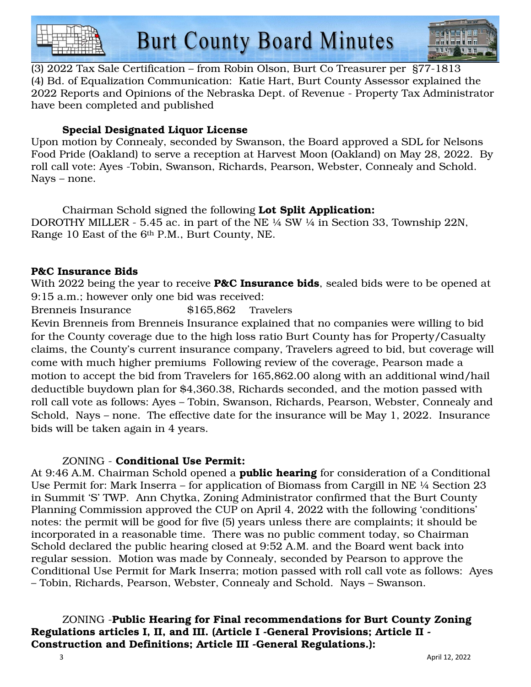



(3) 2022 Tax Sale Certification – from Robin Olson, Burt Co Treasurer per §77-1813 (4) Bd. of Equalization Communication: Katie Hart, Burt County Assessor explained the 2022 Reports and Opinions of the Nebraska Dept. of Revenue - Property Tax Administrator have been completed and published

## Special Designated Liquor License

Upon motion by Connealy, seconded by Swanson, the Board approved a SDL for Nelsons Food Pride (Oakland) to serve a reception at Harvest Moon (Oakland) on May 28, 2022. By roll call vote: Ayes -Tobin, Swanson, Richards, Pearson, Webster, Connealy and Schold. Nays – none.

 Chairman Schold signed the following Lot Split Application: DOROTHY MILLER - 5.45 ac. in part of the NE ¼ SW ¼ in Section 33, Township 22N, Range 10 East of the 6th P.M., Burt County, NE.

#### P&C Insurance Bids

With 2022 being the year to receive **P&C Insurance bids**, sealed bids were to be opened at 9:15 a.m.; however only one bid was received:

Brenneis Insurance \$165,862 Travelers

Kevin Brenneis from Brenneis Insurance explained that no companies were willing to bid for the County coverage due to the high loss ratio Burt County has for Property/Casualty claims, the County's current insurance company, Travelers agreed to bid, but coverage will come with much higher premiums Following review of the coverage, Pearson made a motion to accept the bid from Travelers for 165,862.00 along with an additional wind/hail deductible buydown plan for \$4,360.38, Richards seconded, and the motion passed with roll call vote as follows: Ayes – Tobin, Swanson, Richards, Pearson, Webster, Connealy and Schold, Nays – none. The effective date for the insurance will be May 1, 2022. Insurance bids will be taken again in 4 years.

#### ZONING - Conditional Use Permit:

At 9:46 A.M. Chairman Schold opened a **public hearing** for consideration of a Conditional Use Permit for: Mark Inserra – for application of Biomass from Cargill in NE ¼ Section 23 in Summit 'S' TWP. Ann Chytka, Zoning Administrator confirmed that the Burt County Planning Commission approved the CUP on April 4, 2022 with the following 'conditions' notes: the permit will be good for five (5) years unless there are complaints; it should be incorporated in a reasonable time. There was no public comment today, so Chairman Schold declared the public hearing closed at 9:52 A.M. and the Board went back into regular session. Motion was made by Connealy, seconded by Pearson to approve the Conditional Use Permit for Mark Inserra; motion passed with roll call vote as follows: Ayes – Tobin, Richards, Pearson, Webster, Connealy and Schold. Nays – Swanson.

#### ZONING -Public Hearing for Final recommendations for Burt County Zoning Regulations articles I, II, and III. (Article I -General Provisions; Article II - Construction and Definitions; Article III -General Regulations.):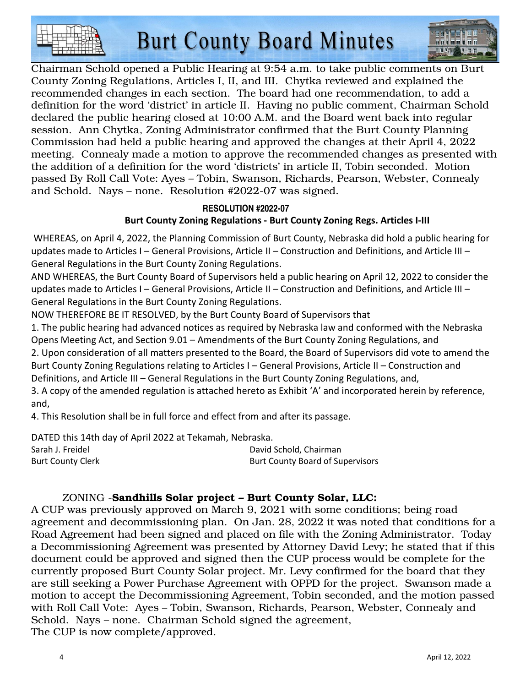



Chairman Schold opened a Public Hearing at 9:54 a.m. to take public comments on Burt County Zoning Regulations, Articles I, II, and III. Chytka reviewed and explained the recommended changes in each section. The board had one recommendation, to add a definition for the word 'district' in article II. Having no public comment, Chairman Schold declared the public hearing closed at 10:00 A.M. and the Board went back into regular session. Ann Chytka, Zoning Administrator confirmed that the Burt County Planning Commission had held a public hearing and approved the changes at their April 4, 2022 meeting. Connealy made a motion to approve the recommended changes as presented with the addition of a definition for the word 'districts' in article II, Tobin seconded. Motion passed By Roll Call Vote: Ayes – Tobin, Swanson, Richards, Pearson, Webster, Connealy and Schold. Nays – none. Resolution #2022-07 was signed.

## **RESOLUTION #2022-07 Burt County Zoning Regulations - Burt County Zoning Regs. Articles I-III**

 WHEREAS, on April 4, 2022, the Planning Commission of Burt County, Nebraska did hold a public hearing for updates made to Articles I – General Provisions, Article II – Construction and Definitions, and Article III – General Regulations in the Burt County Zoning Regulations.

AND WHEREAS, the Burt County Board of Supervisors held a public hearing on April 12, 2022 to consider the updates made to Articles I – General Provisions, Article II – Construction and Definitions, and Article III – General Regulations in the Burt County Zoning Regulations.

NOW THEREFORE BE IT RESOLVED, by the Burt County Board of Supervisors that

1. The public hearing had advanced notices as required by Nebraska law and conformed with the Nebraska Opens Meeting Act, and Section 9.01 – Amendments of the Burt County Zoning Regulations, and

2. Upon consideration of all matters presented to the Board, the Board of Supervisors did vote to amend the Burt County Zoning Regulations relating to Articles I – General Provisions, Article II – Construction and Definitions, and Article III – General Regulations in the Burt County Zoning Regulations, and,

3. A copy of the amended regulation is attached hereto as Exhibit 'A' and incorporated herein by reference, and,

4. This Resolution shall be in full force and effect from and after its passage.

DATED this 14th day of April 2022 at Tekamah, Nebraska.

Sarah J. Freidel David Schold, Chairman Burt County Clerk **Burt County Clerk** Burt County Board of Supervisors

## ZONING -Sandhills Solar project – Burt County Solar, LLC:

A CUP was previously approved on March 9, 2021 with some conditions; being road agreement and decommissioning plan. On Jan. 28, 2022 it was noted that conditions for a Road Agreement had been signed and placed on file with the Zoning Administrator. Today a Decommissioning Agreement was presented by Attorney David Levy; he stated that if this document could be approved and signed then the CUP process would be complete for the currently proposed Burt County Solar project. Mr. Levy confirmed for the board that they are still seeking a Power Purchase Agreement with OPPD for the project. Swanson made a motion to accept the Decommissioning Agreement, Tobin seconded, and the motion passed with Roll Call Vote: Ayes – Tobin, Swanson, Richards, Pearson, Webster, Connealy and Schold. Nays – none. Chairman Schold signed the agreement, The CUP is now complete/approved.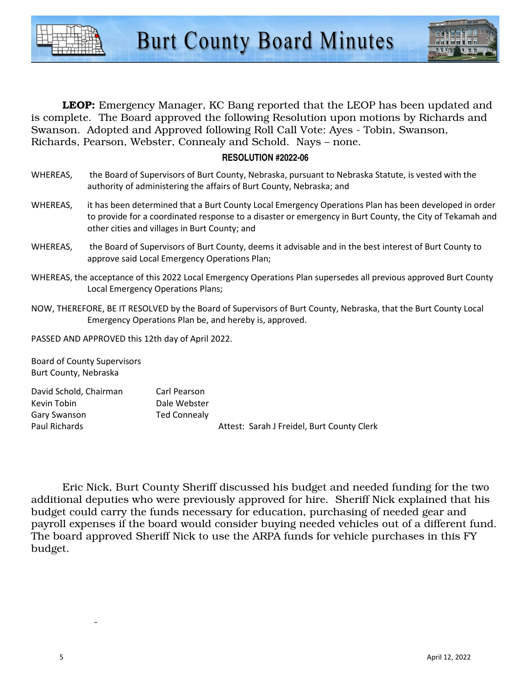



**LEOP:** Emergency Manager, KC Bang reported that the LEOP has been updated and is complete. The Board approved the following Resolution upon motions by Richards and Swanson. Adopted and Approved following Roll Call Vote: Ayes - Tobin, Swanson, Richards, Pearson, Webster, Connealy and Schold. Nays – none.

#### **RESOLUTION #2022-06**

- WHEREAS, the Board of Supervisors of Burt County, Nebraska, pursuant to Nebraska Statute, is vested with the authority of administering the affairs of Burt County, Nebraska; and
- WHEREAS, it has been determined that a Burt County Local Emergency Operations Plan has been developed in order to provide for a coordinated response to a disaster or emergency in Burt County, the City of Tekamah and other cities and villages in Burt County; and
- WHEREAS, the Board of Supervisors of Burt County, deems it advisable and in the best interest of Burt County to approve said Local Emergency Operations Plan;
- WHEREAS, the acceptance of this 2022 Local Emergency Operations Plan supersedes all previous approved Burt County Local Emergency Operations Plans;
- NOW, THEREFORE, BE IT RESOLVED by the Board of Supervisors of Burt County, Nebraska, that the Burt County Local Emergency Operations Plan be, and hereby is, approved.

PASSED AND APPROVED this 12th day of April 2022.

Board of County Supervisors Burt County, Nebraska

| David Schold, Chairman | Carl Pearson |                                            |
|------------------------|--------------|--------------------------------------------|
| Kevin Tobin            | Dale Webster |                                            |
| Gary Swanson           | Ted Connealy |                                            |
| Paul Richards          |              | Attest: Sarah J Freidel, Burt County Clerk |

 Eric Nick, Burt County Sheriff discussed his budget and needed funding for the two additional deputies who were previously approved for hire. Sheriff Nick explained that his budget could carry the funds necessary for education, purchasing of needed gear and payroll expenses if the board would consider buying needed vehicles out of a different fund. The board approved Sheriff Nick to use the ARPA funds for vehicle purchases in this FY budget.

 $-$  -  $-$